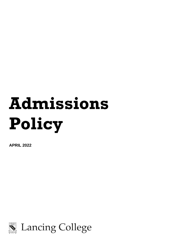# **Admissions Policy**

**APRIL 2022**

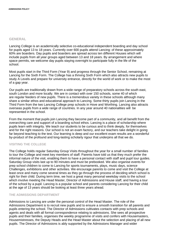# **GENERAL**

Lancing College is an academically selective co-educational independent boarding and day school for pupils aged 13 to 18 years. Currently over 600 pupils attend Lancing: of these approximately 60% are boarders. Day pupils and boarders are spread across ten different Houses which will include pupils from all year groups aged between 13 and 18 years. By arrangement and where space permits, we welcome day pupils staying overnight to participate fully in the life of the school.

Most pupils start in the Third Form (Year 9) and progress through the Senior School, remaining at Lancing for the Sixth Form. The College has a thriving Sixth Form which also attracts new pupils to study A Levels and prepare for university entrance, directly for the world of work or to make the most of a gap year.

Our pupils are traditionally drawn from a wide range of preparatory schools across the south east, south London and more locally. We are in contact with over 150 schools, some 40 of which are regular feeders of new pupils. There is a tremendous variety in these schools although many share a similar ethos and educational approach to Lancing. Some thirty pupils join Lancing in the Third Form from the two Lancing College prep schools in Hove and Worthing. Lancing also attracts overseas pupils from a wide range of countries. In any year around 40 nationalities will be represented in the school.

From the moment that pupils join Lancing they become part of a community, and all benefit from the overarching care and support of a boarding school ethos. Lancing is a place of scholarship where pupils learn with integrity. We teach our students to be curious and to think deeply, for themselves and for the right reasons. Our school is not an exam factory, and our teachers take delight in going far beyond teaching to the test. Our learning is deep and our excellent exam results are a wonderful by-product of the profound and long-lasting scholarly rigour that underpins all that we do.

# **VISITING THE COLLEGE**

The College holds regular Saturday Group Visits throughout the year for a small number of families to tour the College and meet key members of staff. Parents have told us that they much prefer the informal nature of the visit, enabling them to have a personal contact with staff and pupil tour guides. Saturday Group visits last up to 90 minutes and must be prebooked. We also organise events for prep school children to come to Lancing for sports tournaments, plays, music days, science Challenges, exhibitions and other activities. We encourage parents to come and visit the College at least once and many come several times as they go through the process of deciding which school is right for their child. During term time, we host a great many personal weekday visits to the school which involve meeting the Head Master, Director of Admissions and House staff, and having a tour of the school by a pupil. Lancing is a popular school and parents considering Lancing for their child at the age of 13 years should be looking at least three years ahead.

# **THE ADMISSIONS DEPARTMENT**

Admissions to Lancing are under the personal control of the Head Master. The role of the Admissions Department is to recruit new pupils and to ensure a smooth transition for all parents and pupils entering the school. The Director of Admissions cultivates contacts with prep schools and agents and deals with all formal correspondence relating to admissions. She sees all prospective pupils and their families, organises the weekly programme of visits and confers with Housemasters, Housemistresses, the Deputy Heads and the Head Master about the selection and placing of all new pupils. The Director of Admissions is ably supported by the Admissions Manager and wider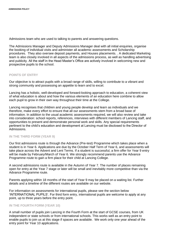Admissions team who are used to talking to parents and answering questions.

The Admissions Manager and Deputy Admissions Manager deal with all initial enquiries, organise the booking of individual visits and administer all academic assessments and Scholarship procedures. They also oversee deposit payments, and Houses placements. . A dedicated Marketing team is also closely involved in all aspects of the admissions process, as well as handling advertising and publicity. All the staff in the Head Master's Office are actively involved in welcoming new and prospective pupils to the school.

# **POINTS OF ENTRY**

Our objective is to attract pupils with a broad range of skills, willing to contribute to a vibrant and strong community and possessing an appetite to learn and to excel.

Lancing has a holistic, well-developed and forward-looking approach to education, a coherent view of what education is about and how the various elements of an education here combine to allow each pupil to grow in their own way throughout their time at the College.

Lancing recognises that children and young people develop and learn as individuals and we therefore, make every effort to ensure that all our assessments stem from a broad base of information. In addition to the usual academic assessments required, we will also review and take into consideration: school reports, references, interviews with different members of Lancing staff, and opportunities to present and demonstrate personal work and skills. Any special requirements pertinent to the child's education and development at Lancing must be disclosed to the Director of Admissions.

# **IN THE THIRD FORM (YEAR 9)**

Our first admissions route is through the Advance (Pre-test) Programme which takes place when a student is in Year 6. Applications are due by the October Half Term of Year 6, and assessments will take place across the Advent and Lent Terms. If a student is successful, a firm offer for Year 9 entry will be made by February/March of Year 6. We strongly recommend parents use the Advance Programme route to gain a firm place for their child at Lancing College.

A second admissions route is available in the Autumn of Year 7. The number of places remaining open for entry at the Year 7 stage or later will be small and inevitably more competitive than via the Advance Programme route.

Parents applying within 18 months of the start of Year 9 may be placed on a waiting list. Further details and a timeline of the different routes are available on our website.

For information on assessments for international pupils, please see the section below 'INTERNATIONAL PUPILS'. For third form entry, international pupils are welcome to apply at any point, up to three years before the entry point.

### **IN THE FOURTH FORM (YEAR 10)**

A small number of pupils join Lancing in the Fourth Form at the start of GCSE courses, from UK independent or state schools or from international schools. This works well as an entry point to enable pupils to join us at this stage if spaces are available. We work only one year ahead of the entry point for Year 10 applications.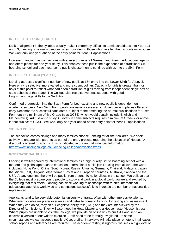# **IN THE FIFTH FORM (YEAR 11)**

Lack of alignment in the syllabus usually make it extremely difficult to admit candidates into Years 11 and 13; Lancing is naturally cautious when considering those who have left their schools mid-course. We work only one year ahead of the entry point for Year 11 applications.

However, Lancing has connections with a select number of German and French educational agents and offers places for one-year study. This enables these pupils the experience of a traditional UK boarding school and each year some pupils choose then to continue with us into the Sixth Form.

# **IN THE SIXTH FORM (YEAR 12)**

Lancing attracts a significant number of new pupils at 16+ entry into the Lower Sixth for A Level. Here entry is selective, more varied and more cosmopolitan. Capacity for girls is greater than for boys at this point to reflect what had been a tradition of girls moving from independent single-sex or state schools at this stage. The College also recruits overseas students with good English language skills to the Sixth Form.

Confirmed progression into the Sixth Form for both existing and new pupils is dependent on academic success. New Sixth Form pupils are usually assessed in November and places offered in early December to successful candidates, subject to their meeting the normal qualifications for Sixth Form entry (a minimum of five Grade 6s at GCSE, which would usually include English and Mathematics). Admission to study A Levels in some subjects requires a minimum Grade 7 or above in that subject at GCSE. We work only one year ahead of the entry point for Year 12 applications.

# **SIBLING POLICY**

The school welcomes siblings and many families choose Lancing for all their children. We seek actively to engage with parents as part of the entry process regarding the allocation of Houses. A discount is offered to siblings. This is indicated in our annual Financial Information <https://www.lancingcollege.co.uk/lancing-college/admissions/fees>

# **INTERNATIONAL PUPILS**

Lancing is well-regarded by international families as a high-quality British boarding school with a modern and global approach to education. International pupils join Lancing from all over the world including: Hong Kong, China, South Korea, Russia, Ukraine, Germany, Thailand, Malaysia, Japan, the Middle East, Bulgaria, other former Soviet and European countries, Australia, Canada and the USA. At any one time there will be pupils from around 40 nationalities in the school. We believe that the College must prepare young people to study and work in a global world, aware and excited by everything that this offers. Lancing has close working relationships with trusted international educational agencies worldwide and campaigns successfully to increase the number of nationalities represented.

Applicants tend to be very able potential university entrants, often with other impressive talents. Whenever possible we prefer overseas candidates to come to Lancing for testing and assessment. When they can do so, they sit our cognitive ability test (CAT) and they are interviewed by the Director of Admissions. They will also meet the Head Master and a Housemaster/Housemistress.. Where pupils are unable to visit the College, we provide an online link to our CAT and send an electronic version of our written exercise. Both need to be formally invigilated. In some circumstances we can accept a pupils UKiset profile. Interviews will take place remotely. In all cases school reports and references are required. The academic testing is rigorous: we seek a high level of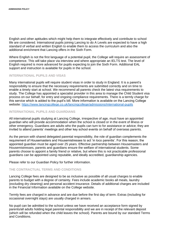English and other aptitudes which might help them to integrate effectively and contribute to school life are considered. International pupils joining Lancing to do A Levels are expected to have a high standard of verbal and written English to enable them to access the curriculum and also the additional enrichment that Lancing offers in the Sixth Form.

Where English is not the first language of a potential pupil, the College will require an assessment of competence. This will take place via interview and where appropriate an IELTS test. The level of English required is more advanced for pupils expecting to join the Sixth Form. Additional EAL support and instruction is available for pupils in the school.

# **INTERNATIONAL PUPILS AND VISAS**

Many international pupils will require student visas in order to study in England. It is a parent's responsibility to ensure that the necessary requirements are submitted correctly and on time to enable a timely start at school. We recommend all parents check the latest visa requirements to study. The College has appointed a specialist provider in this area to manage the Child Student visa process on our behalf, for entry and ongoing compliance requirements. There is a termly charge for this service which is added to the pupil's bill. More information is available on the Lancing College website: <https://www.lancingcollege.co.uk/lancingcollege/admissions/international-pupils>

# **INTERNATIONAL PUPILS AND GUARDIANS**

All international pupils studying at Lancing College, irrespective of age, must have an appointed guardian who will provide accommodation when the school is closed or in the event of illness or other emergency. Guardians are adults who the pupils can turn to for assistance or advice; they are invited to attend parents' meetings and other key school events on behalf of overseas parents.

As the person with shared delegated parental responsibility, the role of guardian complements the requirement of Housemasters and Housemistresses to act 'in loco parentis'. For this reason, the appointed guardian must be aged over 25 years. Effective partnership between Housemasters and Housemistresses, parents and guardians ensure the welfare of international students. Some parents choose to appoint a family friend or relative, but where this is not practicable professional guardians can be appointed using reputable, and ideally accredited, guardianship agencies.

Please refer to our Guardian Policy for further information.

# **THE CONTRACTUAL TERMS AND CONDITIONS**

Lancing College fees are designed to be as inclusive as possible of all usual charges to enable parents to budget with a degree of certainty. Fees include academic books all meals, laundry (excluding dry cleaning) and personal accident insurance. Details of additional charges are included in the Financial Information available on the College website.

Termly fees are charged in advance and are due before the first day of term. Extras (including for occasional overnight stays) are usually charged in arrears.

No pupil can be admitted to the school unless we have received an acceptance form signed by parents/all adults holding legal parental responsibility and we are in receipt of the relevant deposit (which will be refunded when the child leaves the school). Parents are bound by our standard Terms and Conditions.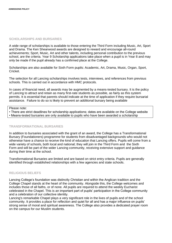# **SCHOLARSHIPS AND BURSARIES**

A wide range of scholarships is available to those entering the Third Form including Music, Art, Sport and Drama. The Ken Shearwood awards are designed to reward and encourage all-round achievements; Sport, Music, Art and other talents, including personal contribution to the previous school, are the criteria. Year 9 Scholarship applications take place when a pupil is in Year 8 and may only be made if the pupil already has a confirmed place at the College.

Scholarships are also available for Sixth Form pupils: Academic, Art, Drama, Music, Organ, Sport, Cricket.

The selection for all Lancing scholarships involves tests, interviews, and references from previous schools. This is carried out in accordance with HMC protocols.

In cases of financial need, all awards may be augmented by a means-tested bursary. It is the policy of Lancing to attract and retain as many first-rate students as possible, as fairly as this system permits. It is essential that parents should indicate at the time of application if they require bursarial assistance. Failure to do so is likely to prevent an additional bursary being available

Please note:

• There are strict deadlines for scholarship applications; dates are available on the College website

• Means-tested bursaries are only available to pupils who have been awarded a scholarship

# **TRANSFORMATIONAL BURSARIES**

In addition to bursaries associated with the grant of an award, the College has a Transformational Bursary (Foundationers) programme for students from disadvantaged backgrounds who would not otherwise have a chance to receive the kind of education that Lancing offers. Pupils will come from a wide variety of schools, both local and national; they will join in the Third Form and the Sixth Form and will be part of the wider Lancing community, receiving extensive support and guidance during their time at the school.

Transformational Bursaries are limited and are based on strict entry criteria. Pupils are generally identified through established relationships with a few agencies and state schools.

# **RELIGIOUS BELIEFS**

Lancing College's foundation was distinctly Christian and within the Anglican tradition and the College Chapel stands at the heart of the community. Alongside this, the College welcomes and includes those of all faiths, or of none. All pupils are required to attend the weekly Eucharist celebrated in the Chapel. This is an important part of pupils' participation in the College community and a celebration of our collective identity.

Lancing's remarkable Chapel plays a very significant role in the lives of pupils and of the school community. It provides a place for reflection and quiet for all and has a major influence on pupils' strong sense of moral and spiritual awareness. The College also provides a dedicated prayer room on the campus for our Muslim students.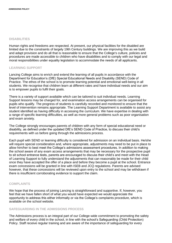### **DISABILITIES**

Human rights and freedoms are respected. At present, our physical facilities for the disabled are limited due to the constraints of largely 19th Century buildings. We are improving this as we build and adapt provision and do all that is reasonable to ensure that the College's culture, policies and procedures are made accessible to children who have disabilities and to comply with our legal and moral responsibilities under equality legislation to accommodate the needs of all applicants.

# **LEARNING SUPPORT**

Lancing College aims to enrich and extend the learning of all pupils in accordance with the Department for Education's (DfE) Special Educational Needs and Disability (SEND) Code of Practice. The ethos of the school is to promote learning potential and emotional well-being in all students. We recognise that children learn at different rates and have individual needs and our aim is to empower pupils to fulfil their goals.

There is a variety of support available which can be tailored to suit individual needs. Learning Support lessons may be charged for, and examination access arrangements can be organised for pupils who qualify. The progress of students is carefully recorded and monitored to ensure that the level of intervention remains appropriate. The Learning Support Department is available to assist any student identified as having difficulty in accessing the curriculum. We have expertise in dealing with a range of specific learning difficulties, as well as more general problems such as poor organisation and exam anxiety.

The College strongly encourages parents of children with any form of special educational need or disability, as defined under the updated DfE's SEND Code of Practice, to discuss their child's requirements with us before going through the admissions process.

Each pupil with SEND or learning difficulty is considered for admission on an individual basis. He/she will require special consideration and, where appropriate, adjustments may need to be put in place to allow him/her to best meet the College's admissions assessment procedures. In addition to making the school aware of any exam access arrangements that may be necessary for the prospective pupil to sit school entrance tests, parents are encouraged to discuss their child's and meet with the Head of Learning Support to fully understand the adjustments that can reasonably be made for their child once they have accepted the offer of a place and before they become a pupil at the school. Entrance exam concessions will be granted in line with ISEB and JCQ regulations. Parents are advised however, that these concessions will be reviewed upon entry to the school and may be withdrawn if there is insufficient corroborating evidence to support the claim.

# **COMPLAINTS**

We hope that the process of joining Lancing is straightforward and supportive. If, however, you feel that we have fallen short of what you would have expected we would appreciate the opportunity to address this either informally or via the College's complaints procedure, which is available on the school website.

# **SAFEGUARDING IN THE ADMISSIONS PROCESS**

The Admissions process is an integral part of our College-wide commitment to promoting the safety and welfare of every child in the school, in line with the school's Safeguarding (Child Protection) Policy. Staff receive regular training and are aware of the importance of safeguarding for every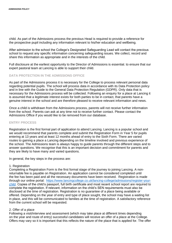child. As part of the Admissions process the previous Head is required to provide a reference for the prospective pupil including any information relevant to his/her education and wellbeing.

After admission to the school the College's Designated Safeguarding Lead will contact the previous school to request any specific information concerning safeguarding issues. We collect, record and share this information as appropriate and in the interests of the child.

Full disclosure at the earliest opportunity to the Director of Admissions is essential. to ensure that our expert pastoral team at Lancing is able to support their child.

# **DATA PROTECTION IN THE ADMISSIONS OFFICE**

As part of the Admissions process it is necessary for the College to process relevant personal data regarding potential pupils. The school will process data in accordance with its Data Protection policy and in line with the Guide to the General Data Protection Regulation (GDPR). Only data that is necessary for the Admissions process will be collected. Following an enquiry for a place at Lancing it is assumed that a legitimate interest exists for both parties to be in contact, that parents have a genuine interest in the school and are therefore pleased to receive relevant information and news.

Once a child is withdrawn from the Admissions process, parents will not receive further information from the school. Parents can ask at any time not to receive further contact. Please contact the Admissions Office if you would like to be removed from our database.

### **ENTRY PROCESS**

Registration is the first formal part of application to attend Lancing. Lancing is a popular school and we would recommend that parents complete and submit the Registration Form in Year 5 for pupils entering at 13 years and at least 12 months ahead of entry to the Sixth Form. There are varied routes to gaining a place a Lancing depending on the timeline involved and previous experience of the school. The Admissions team is always happy to guide parents through the different steps and to answer questions. We recognise that this is an important decision and commitment for parents and they are likely to have many and varied questions.

In general, the key steps in the process are:

### 1. Registration

Completing a Registration Form is the first formal stage of the journey to joining Lancing. A nonreturnable fee is payable on Registration. An application cannot be considered completed until the fee has been paid and all the necessary documents have been received. Registration is made through our online portal: [https://www.lancingcollege.co.uk/lancing-college/admissions/register-your](https://www.lancingcollege.co.uk/lancing-college/admissions/register-your-child)[child.](https://www.lancingcollege.co.uk/lancing-college/admissions/register-your-child) Copies of the child's passport, full birth certificate and most recent school report are required to complete the registration. If relevant, information on the child's SEN requirements must also be disclosed at the time of registration. Registration is no guarantee of a place being available or offered. Depending on the year of entry and type of place sought, the school may have a waiting list in place, and this will be communicated to families at the time of registration. A satisfactory reference from the current school will be requested.

### 2. Offer of a place

Following a visit/interview and assessment (which may take place at different times depending on the year and route of entry) successful candidates will receive an offer of a place at the College. Offers may vary so it is important that this reflects the nature of the place that is applied for. The offer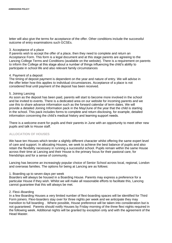letter will also give the terms for acceptance of the offer. Other conditions include the successful outcome of entry examinations such GCSEs.

# 3. Acceptance of a place

If parents wish to accept the offer of a place, then they need to complete and return an Acceptance Form. This form is a legal document and at this stage parents are agreeing to the Lancing College Terms and Conditions (available on the website). There is a requirement on parents to inform the College at this stage about a number of things influencing the child's ability to participate in school life and also relevant family circumstances

### 4. Payment of a deposit

The timing of deposit payment is dependent on the year and nature of entry. We will advise in the offer letter how this applies to individual circumstances. Acceptance of a place is not considered final until payment of the deposit has been received.

### 5. Joining Lancing

As soon as the deposit has been paid, parents will start to become more involved in the school and be invited to events. There is a dedicated area on our website for incoming parents and we use this to share advance information such as the forward calendar of term dates. We will provide a detailed Joining Information pack in the May/June of the year that the child is starting in the school. This pack includes forms to complete and return disclosing, for example, detailed information concerning the child's medical history and learning support needs.

There is a welcome event for pupils and their parents in June with an opportunity to meet other new pupils and talk to House staff.

# **ALLOCATION OF HOUSES**

We have ten Houses which tender a slightly different character whilst offering the same expert level of care and support. In allocating Houses, we seek to achieve the best balance of pupils and also retain the flexibility necessary in running a successful school. Pupils remain within the same House across their time at Lancing and their House is the primary focus for their pastoral care, for friendships and for a sense of community.

Lancing has become an increasingly popular choice of Senior School across local, regional, London and overseas families. The options for being at Lancing are as follows:

### 1. Boarding up to seven days per week

Boarders will always be housed in a Boarding House. Parents may express a preference for a particular House if they wish. Whilst we will make all reasonable efforts to facilitate this, Lancing cannot guarantee that this will always be met.

# 2. Flexi–Boarding

In a few Boarding Houses a very limited number of flexi-boarding spaces will be identified for Third Form joiners. Flexi-boarders stay over for three nights per week and we anticipate they may transition to full boarding . Where possible, House preference will be taken into consideration but is not guaranteed. Parents should notify Houses by Friday morning of the three flexi nights required in the following week. Additional nights will be granted by exception only and with the agreement of the Head Master.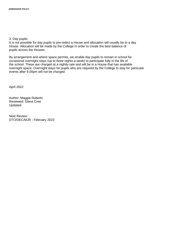3. Day pupils

It is not possible for day pupils to pre-select a House and allocation will usually be to a day House. Allocation will be made by the College in order to create the best balance of pupils across the Houses.

By arrangement and where space permits, we enable day pupils to remain in school for occasional overnight stays (up to three nights a week) to participate fully in the life of the school. These are charged at a nightly rate and will be in a House that has available overnight space. Overnight stays for pupils who are required by the College to stay for particular events after 9.00pm will not be charged.

April 2022

Author: Maggie Roberts Reviewed: Diana Cree Updated:

Next Review: DTO/DEC/MJR - February 2023